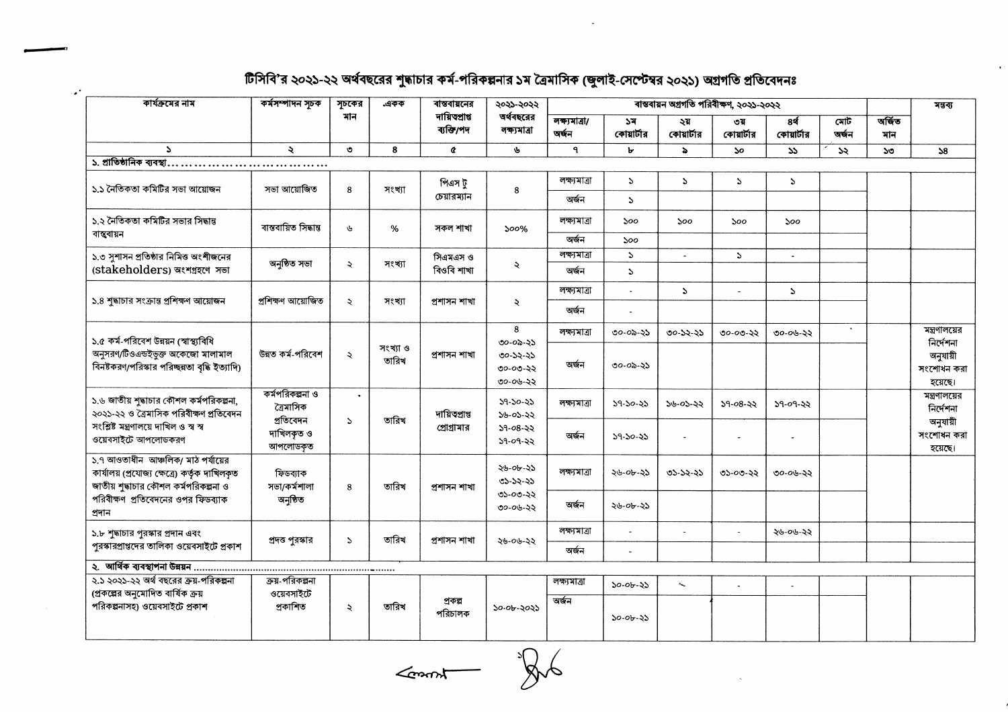## টিসিবি'র ২০২১-২২ অর্থবছরের শুদ্ধাচার কর্ম-পরিকল্পনার ১ম ত্রৈমাসিক (জুলাই-সেপ্টেম্বর ২০২১) অগ্রগতি প্রতিবেদনঃ

| কার্যক্রমের নাম                                                                                                                                                              | কৰ্মসম্পাদন সূচক                          | সূচকের              | একক               | বান্তবায়নের                 | ২০২১-২০২২<br>অর্থবছরের<br>লক্ষ্যমাত্ৰা                               | বাস্তবায়ন অগ্ৰগতি পৰিবীক্ষণ, ২০২১-২০২২ |                           |                   |                   |                  |              |               | মন্তব্য                               |
|------------------------------------------------------------------------------------------------------------------------------------------------------------------------------|-------------------------------------------|---------------------|-------------------|------------------------------|----------------------------------------------------------------------|-----------------------------------------|---------------------------|-------------------|-------------------|------------------|--------------|---------------|---------------------------------------|
|                                                                                                                                                                              |                                           | মান                 |                   | দায়িতপ্ৰাপ্ত<br>ব্যক্তি/পদ  |                                                                      | $\overline{$ লক্ষ্যমাত্রা/<br>অৰ্জন     | ১ম<br>কোয়ার্টার          | ২য়<br>কোয়ার্টার | ৩য়<br>কোয়ার্টার | 84<br>কোয়ার্টার | মোট<br>জৰ্জন | অৰ্জিত<br>মান |                                       |
| $\mathbf{A}$                                                                                                                                                                 | $\ddot{\mathbf{z}}$                       | $\bullet$           | 8                 | $\alpha$                     | P,                                                                   | $\mathbf{q}$                            | А                         | $\ddot{ }$        | $\mathbf{S}$      | $\mathbf{v}$     | SS.          | ১৩            | 38                                    |
| ১. প্রাতিষ্ঠানিক ব্যবস্থা                                                                                                                                                    |                                           |                     |                   |                              |                                                                      |                                         |                           |                   |                   |                  |              |               |                                       |
| ১.১ নৈতিকতা কমিটির সভা আয়োজন                                                                                                                                                | সভা আয়োজিত                               | 8                   | সংখ্যা            | পিএস ট্<br>চেয়ারম্যান       | 8                                                                    | লক্ষ্যমাত্ৰা                            | $\mathcal{L}$             | P.                | $\mathbf{r}$      | $\mathbf{v}$     |              |               |                                       |
|                                                                                                                                                                              |                                           |                     |                   |                              |                                                                      | অৰ্জন                                   | $\mathcal{L}$             |                   |                   |                  |              |               |                                       |
| ১.২ নৈতিকতা কমিটির সভার সিদ্ধান্ত<br>বান্তবায়ন                                                                                                                              | বাস্তবায়িত সিদ্ধান্ত                     | $\mathbf{d}_2$      | %                 | সকল শাখা                     | 500%                                                                 | লক্ষ্যমাত্ৰা                            | ১০০                       | ১০০               | 500               | 500              |              |               |                                       |
|                                                                                                                                                                              |                                           |                     |                   |                              |                                                                      | অৰ্জন                                   | 500                       |                   |                   |                  |              |               |                                       |
| ১.৩ সুশাসন প্রতিষ্ঠার নিমিত্ত অংশীজনের<br>(stakeholders) অংশগ্ৰহণে সভা                                                                                                       | অনুষ্ঠিত সভা                              | $\ddot{\sim}$       | সংখ্যা            | সিএমএস ও<br>বিওবি শাখা       | ₹                                                                    | লক্ষ্যমাত্ৰা                            | $\Delta$                  |                   | $\mathbf{A}$      | $\sim$           |              |               |                                       |
|                                                                                                                                                                              |                                           |                     |                   |                              |                                                                      | অৰ্জন                                   | $\mathbf{A}$              |                   |                   |                  |              |               |                                       |
| ১.৪ শুদ্ধাচার সংক্রান্ত প্রশিক্ষণ আয়োজন                                                                                                                                     | প্ৰশিক্ষণ আয়োজিত                         | $\ddot{\mathbf{z}}$ | সংখ্যা            | প্ৰশাসন শাখা                 | $\ddot{\mathcal{L}}$                                                 | লক্ষ্যমাত্ৰা                            | $\overline{\phantom{a}}$  | $\mathbf{S}$      | $\mathbb{Z}^2$    | $\mathcal{L}$    |              |               |                                       |
|                                                                                                                                                                              |                                           |                     |                   |                              |                                                                      | অৰ্জন                                   | $\mathbb{L}$              |                   |                   |                  |              |               |                                       |
| ১.৫ কর্ম-পরিবেশ উন্নয়ন (স্বাস্থ্যবিধি<br>অনুসরণ/টিওএন্ডইভুক্ত অকেজো মালামাল<br>বিনষ্টকরণ/পরিস্কার পরিচ্ছন্নতা বৃদ্ধি ইত্যাদি)                                               |                                           |                     | সংখ্যা ও<br>তারিখ | প্ৰশাসন শাখা                 | 8<br>$00 - 00 - 25$<br>৩০-১২-২১<br>৩০-০৩-২২                          | লক্ষ্যমাত্ৰা                            | ৩০-০৯-২১                  | $00 - 52 - 25$    | $00 - 00 - 22$    | ৩০-০৬-২২         |              |               | মন্ত্রণালয়ের                         |
|                                                                                                                                                                              | উন্নত কৰ্ম-পরিবেশ                         | $\lambda$           |                   |                              |                                                                      | অৰ্জন                                   | $00 - 00 - 25$            |                   |                   |                  |              |               | নিৰ্দেশনা<br>অনুযায়ী<br>সংশোধন করা   |
| ১.৬ জাতীয় শুদ্ধাচার কৌশল কর্মপরিকল্পনা,<br>২০২১-২২ ও ত্রৈমাসিক পরিবীক্ষণ প্রতিবেদন<br>সংশ্লিষ্ট মন্ত্ৰণালয়ে দাখিল ও স্ব স্ব<br>ওয়েবসাইটে আপলোডকরণ                         | কর্মপরিকল্পনা ও<br>ত্ৰৈমাসিক<br>প্ৰতিবেদন | $\bullet$           | তারিখ             | দায়িতপ্ৰাপ্ত<br>প্রোগ্রামার | ৩০-০৬-২২<br>$39 - 30 - 33$<br>১৬-০১-২২<br>$59 - 08 - 22$<br>১৭-০৭-২২ | লক্ষ্যমাত্ৰা                            | $39 - 30 - 35$            | ১৬-০১-২২          | $59 - 08 - 33$    | ১৭-০৭-২২         |              |               | হয়েছে।<br>মন্ত্রণালয়ের<br>নিৰ্দেশনা |
|                                                                                                                                                                              | দাখিলকৃত ও<br>আপলোডকৃত                    | $\mathcal{L}$       |                   |                              |                                                                      | অৰ্জন                                   | $39 - 30 - 33$            |                   | $\overline{a}$    |                  |              |               | অনুযায়ী<br>সংশোধন করা<br>হয়েছে।     |
| ১.৭ আওতাধীন আঞ্চলিক/ মাঠ পর্যায়ের<br>কার্যালয় (প্রযোজ্য ক্ষেত্রে) কর্তৃক দাখিলকৃত<br>জাতীয় শুদ্ধাচার কৌশল কর্মপরিকল্পনা ও<br>পরিবীক্ষণ প্রতিবেদনের ওপর ফিডব্যাক<br>প্ৰদান | ফিডব্যাক<br>সভা/কৰ্মশালা<br>অনুষ্ঠিত      | 8                   | তারিখ             | প্ৰশাসন শাখা                 | ২৬-০৮-২১<br>৩১-১২-২১<br>৩১-০৩-২২<br>৩০-০৬-২২                         | লক্ষমাত্ৰা                              | ২৬-০৮-২১                  | $05 - 52 - 25$    | ৩১-০৩-২২          | ৩০-০৬-২২         |              |               |                                       |
|                                                                                                                                                                              |                                           |                     |                   |                              |                                                                      | অৰ্জন                                   | ২৬-০৮-২১                  |                   |                   |                  |              |               |                                       |
| ১.৮ শুদ্ধাচার পুরস্কার প্রদান এবং<br>পুরস্কারপ্রাপ্তদের তালিকা ওয়েবসাইটে প্রকাশ                                                                                             | প্রদত্ত পুরস্কার                          | $\mathcal{L}$       | তারিখ             | প্ৰশাসন শাখা                 | ২৬-০৬-২২                                                             | লক্ষ্যমাত্ৰা                            |                           | $\blacksquare$    |                   | ২৬-০৬-২২         |              |               |                                       |
|                                                                                                                                                                              |                                           |                     |                   |                              |                                                                      | অৰ্জন                                   | $\ddot{\phantom{a}}$      |                   |                   |                  |              |               |                                       |
| ২. আৰ্থিক ব্যবস্থাপনা উন্নয়ন                                                                                                                                                |                                           |                     |                   |                              |                                                                      |                                         |                           |                   |                   |                  |              |               |                                       |
| ২.১ ২০২১-২২ অর্থ বছরের ক্রয়-পরিকল্পনা<br>(প্রকল্পের অনুমোদিত বার্ষিক ক্রয়                                                                                                  | ক্রয়-পরিকল্পনা<br>ওয়েবসাইটে             |                     |                   |                              | লক্ষ্যমাত্ৰা                                                         | $50 - 06 - 25$                          | $\mathbf{S}_{\mathbf{w}}$ |                   | $\sim$            |                  |              |               |                                       |
| পরিকল্পনাসহ) ওয়েবসাইটে প্রকাশ                                                                                                                                               | প্ৰকাশিত                                  | $\ddot{\mathbf{z}}$ | তারিখ             | প্ৰকল্প<br>পরিচালক           | ১০-০৮-২০২১                                                           | অৰ্জন                                   | ১০-০৮-২১                  |                   |                   |                  |              |               |                                       |

 $\leq$  or  $\frac{1}{\sqrt{2\pi}}$ 

gro